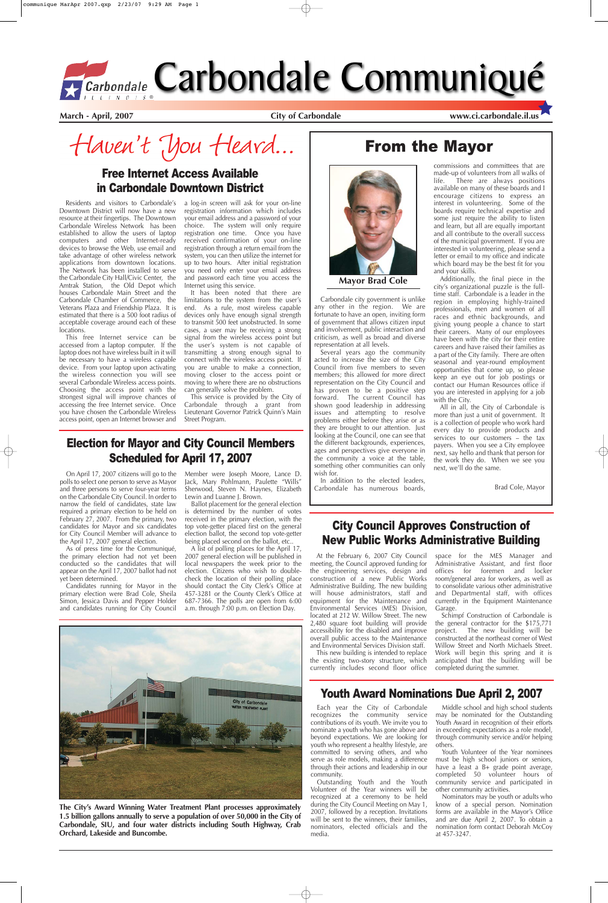**March - April, 2007 City of Carbondale www.ci.carbondale.il.us**

Haven't You Heard...

# From the Mayor

# Youth Award Nominations Due April 2, 2007

Residents and visitors to Carbondale's Downtown District will now have a new resource at their fingertips. The Downtown Carbondale Wireless Network has been established to allow the users of laptop computers and other Internet-ready devices to browse the Web, use email and take advantage of other wireless network applications from downtown locations. The Network has been installed to serve the Carbondale City Hall/Civic Center, the Amtrak Station, the Old Depot which houses Carbondale Main Street and the Carbondale Chamber of Commerce, the Veterans Plaza and Friendship Plaza. It is estimated that there is a 500 foot radius of acceptable coverage around each of these locations.

This free Internet service can be accessed from a laptop computer. If the laptop does not have wireless built in it will be necessary to have a wireless capable device. From your laptop upon activating the wireless connection you will see several Carbondale Wireless access points. Choosing the access point with the strongest signal will improve chances of accessing the free Internet service. Once you have chosen the Carbondale Wireless access point, open an Internet browser and a log-in screen will ask for your on-line registration information which includes your email address and a password of your choice. The system will only require registration one time. Once you have received confirmation of your on-line registration through a return email from the system, you can then utilize the internet for up to two hours. After initial registration you need only enter your email address and password each time you access the Internet using this service.

It has been noted that there are limitations to the system from the user's end. As a rule, most wireless capable devices only have enough signal strength to transmit 500 feet unobstructed. In some cases, a user may be receiving a strong signal from the wireless access point but the user's system is not capable of transmitting a strong enough signal to connect with the wireless access point. If you are unable to make a connection, moving closer to the access point or moving to where there are no obstructions can generally solve the problem.

This service is provided by the City of Carbondale through a grant from Lieutenant Governor Patrick Quinn's Main Street Program.

# Free Internet Access Available in Carbondale Downtown District

All in all, the City of Carbondale is more than just a unit of government. It is a collection of people who work hard every day to provide products and services to our customers – the tax payers. When you see a City employee next, say hello and thank that person for the work they do. When we see you next, we'll do the same.

Carbondale city government is unlike any other in the region. We are fortunate to have an open, inviting form of government that allows citizen input and involvement, public interaction and criticism, as well as broad and diverse representation at all levels.

Several years ago the community acted to increase the size of the City Council from five members to seven members; this allowed for more direct representation on the City Council and has proven to be a positive step forward. The current Council has shown good leadership in addressing issues and attempting to resolve problems either before they arise or as they are brought to our attention. Just looking at the Council, one can see that the different backgrounds, experiences, ages and perspectives give everyone in the community a voice at the table, something other communities can only wish for.

In addition to the elected leaders, Carbondale has numerous boards,

commissions and committees that are made-up of volunteers from all walks of life. There are always positions available on many of these boards and I encourage citizens to express an interest in volunteering. Some of the boards require technical expertise and some just require the ability to listen and learn, but all are equally important and all contribute to the overall success of the municipal government. If you are interested in volunteering, please send a letter or email to my office and indicate which board may be the best fit for you and your skills.

Additionally, the final piece in the city's organizational puzzle is the fulltime staff. Carbondale is a leader in the region in employing highly-trained professionals, men and women of all races and ethnic backgrounds, and giving young people a chance to start their careers. Many of our employees have been with the city for their entire careers and have raised their families as a part of the City family. There are often seasonal and year-round employment opportunities that come up, so please keep an eye out for job postings or contact our Human Resources office if you are interested in applying for a job with the City.

Brad Cole, Mayor

**Mayor Brad Cole**

Each year the City of Carbondale recognizes the community service contributions of its youth. We invite you to nominate a youth who has gone above and beyond expectations. We are looking for youth who represent a healthy lifestyle, are committed to serving others, and who serve as role models, making a difference through their actions and leadership in our community.

Outstanding Youth and the Youth Volunteer of the Year winners will be recognized at a ceremony to be held during the City Council Meeting on May 1, 2007, followed by a reception. Invitations will be sent to the winners, their families, nominators, elected officials and the media.

Middle school and high school students may be nominated for the Outstanding Youth Award in recognition of their efforts in exceeding expectations as a role model, through community service and/or helping others.

Youth Volunteer of the Year nominees must be high school juniors or seniors, have a least a B+ grade point average, completed 50 volunteer hours of community service and participated in other community activities.

Nominators may be youth or adults who know of a special person. Nomination forms are available in the Mayor's Office and are due April 2, 2007. To obtain a nomination form contact Deborah McCoy at 457-3247.

**The City's Award Winning Water Treatment Plant processes approximately 1.5 billion gallons annually to serve a population of over 50,000 in the City of Carbondale, SIU, and four water districts including South Highway, Crab Orchard, Lakeside and Buncombe.** 

On April 17, 2007 citizens will go to the polls to select one person to serve as Mayor and three persons to serve four-year terms on the Carbondale City Council. In order to narrow the field of candidates, state law required a primary election to be held on February 27, 2007. From the primary, two candidates for Mayor and six candidates for City Council Member will advance to the April 17, 2007 general election.

As of press time for the Communiqué, the primary election had not yet been conducted so the candidates that will appear on the April 17, 2007 ballot had not yet been determined.

Candidates running for Mayor in the primary election were Brad Cole, Sheila Simon, Jessica Davis and Pepper Holder and candidates running for City Council Member were Joseph Moore, Lance D. Jack, Mary Pohlmann, Paulette "Wills" Sherwood, Steven N. Haynes, Elizabeth Lewin and Luanne J. Brown.

Ballot placement for the general election is determined by the number of votes received in the primary election, with the top vote-getter placed first on the general election ballot, the second top vote-getter being placed second on the ballot, etc..

A list of polling places for the April 17, 2007 general election will be published in local newspapers the week prior to the election. Citizens who wish to doublecheck the location of their polling place should contact the City Clerk's Office at 457-3281 or the County Clerk's Office at 687-7366. The polls are open from 6:00 a.m. through 7:00 p.m. on Election Day.



# Election for Mayor and City Council Members Scheduled for April 17, 2007

# City Council Approves Construction of New Public Works Administrative Building

At the February 6, 2007 City Council meeting, the Council approved funding for the engineering services, design and construction of a new Public Works Administrative Building. The new building will house administrators, staff and equipment for the Maintenance and Environmental Services (MES) Division, located at 212 W. Willow Street. The new 2,480 square foot building will provide accessibility for the disabled and improve

overall public access to the Maintenance and Environmental Services Division staff.

This new building is intended to replace the existing two-story structure, which currently includes second floor office space for the MES Manager and Administrative Assistant, and first floor offices for foremen and locker room/general area for workers, as well as to consolidate various other administrative and Departmental staff, with offices currently in the Equipment Maintenance Garage.

Schimpf Construction of Carbondale is the general contractor for the \$175,771 project. The new building will be



constructed at the northeast corner of West Willow Street and North Michaels Street. Work will begin this spring and it is anticipated that the building will be completed during the summer.

# *Garbondale Carbondale Communiqué*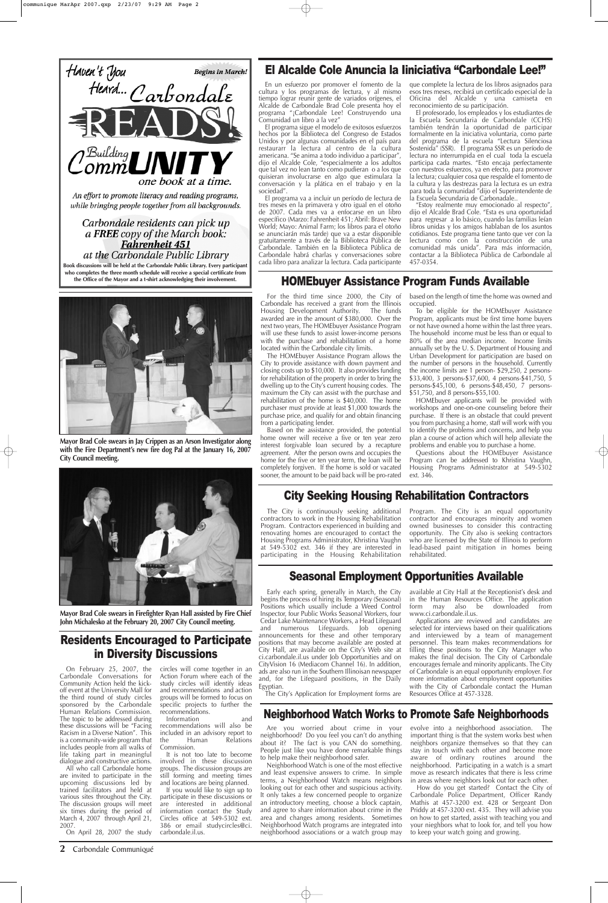# Residents Encouraged to Participate in Diversity Discussions

On February 25, 2007, the Carbondale Conversations for Community Action held the kickoff event at the University Mall for the third round of study circles sponsored by the Carbondale Human Relations Commission. The topic to be addressed during these discussions will be "Facing Racism in a Diverse Nation". This is a community-wide program that includes people from all walks of life taking part in meaningful dialogue and constructive actions.

All who call Carbondale home are invited to participate in the upcoming discussions led by trained facilitators and held at various sites throughout the City. The discussion groups will meet six times during the period of March 4, 2007 through April 21, 2007.

It is not too late to become involved in these discussion groups. The discussion groups are still forming and meeting times and locations are being planned.

On April 28, 2007 the study

circles will come together in an Action Forum where each of the study circles will identify ideas and recommendations and action groups will be formed to focus on specific projects to further the recommendations.

Information and recommendations will also be included in an advisory report to<br>the Human Relations the Human Relations Commission.

If you would like to sign up to participate in these discussions or are interested in additional information contact the Study Circles office at 549-5302 ext. 386 or email studycircles@ci. carbondale.il.us.

Are you worried about crime in your neighborhood? Do you feel you can't do anything about it? The fact is you CAN do something. People just like you have done remarkable things to help make their neighborhood safer.

Neighborhood Watch is one of the most effective and least expensive answers to crime. In simple terms, a Neighborhood Watch means neighbors looking out for each other and suspicious activity. It only takes a few concerned people to organize an introductory meeting, choose a block captain, and agree to share information about crime in the area and changes among residents. Sometimes Neighborhood Watch programs are integrated into neighborhood associations or a watch group may

evolve into a neighborhood association. The important thing is that the system works best when neighbors organize themselves so that they can stay in touch with each other and become more aware of ordinary routines around the neighborhood. Participating in a watch is a smart move as research indicates that there is less crime in areas where neighbors look out for each other.

How do you get started? Contact the City of Carbondale Police Department, Officer Randy Mathis at 457-3200 ext. 428 or Sergeant Don Priddy at 457-3200 ext. 435. They will advise you on how to get started, assist with teaching you and your nieghbors what to look for, and tell you how to keep your watch going and growing.

For the third time since 2000, the City of Carbondale has received a grant from the Illinois Housing Development Authority. The funds awarded are in the amount of \$380,000. Over the next two years, The HOMEbuyer Assistance Program will use these funds to assist lower-income persons with the purchase and rehabilitation of a home located within the Carbondale city limits.

The HOMEbuyer Assistance Program allows the City to provide assistance with down payment and closing costs up to \$10,000. It also provides funding for rehabilitation of the property in order to bring the dwelling up to the City's current housing codes. The maximum the City can assist with the purchase and rehabilitation of the home is \$40,000. The home purchaser must provide at least \$1,000 towards the purchase price, and qualify for and obtain financing from a participating lender.

Based on the assistance provided, the potential home owner will receive a five or ten year zero interest forgivable loan secured by a recapture agreement. After the person owns and occupies the home for the five or ten year term, the loan will be completely forgiven. If the home is sold or vacated sooner, the amount to be paid back will be pro-rated based on the length of time the home was owned and occupied.

El profesorado, los empleados y los estudiantes de la Escuela Secundaria de Carbondale (CCHS) también tendrán la oportunidad de participar formalmente en la iniciativa voluntaria, como parte del programa de la escuela "Lectura Silenciosa Sostenida" (SSR). El programa SSR es un período de lectura no interrumpida en el cual toda la escuela participa cada martes. "Esto encaja perfectamente con nuestros esfuerzos, ya en efecto, para promover la lectura; cualquier cosa que respalde el fomento de la cultura y las destrezas para la lectura es un extra para toda la comunidad "dijo el Superintendente de la Escuela Secundaria de Carbonadale..

To be eligible for the HOMEbuyer Assistance Program, applicants must be first time home buyers or not have owned a home within the last three years. The household income must be less than or equal to 80% of the area median income. Income limits annually set by the U. S. Department of Housing and Urban Development for participation are based on the number of persons in the household. Currently the income limits are 1 person- \$29,250, 2 persons- \$33,400, 3 persons-\$37,600, 4 persons-\$41,750, 5 persons-\$45,100, 6 persons-\$48,450, 7 persons- \$51,750, and 8 persons-\$55,100.

HOMEbuyer applicants will be provided with workshops and one-on-one counseling before their purchase. If there is an obstacle that could prevent you from purchasing a home, staff will work with you to identify the problems and concerns, and help you plan a course of action which will help alleviate the problems and enable you to purchase a home.

Questions about the HOMEbuyer Assistance Program can be addressed to Khristina Vaughn, Housing Programs Administrator at 549-5302 ext. 346.

# Seasonal Employment Opportunities Available

# HOMEbuyer Assistance Program Funds Available

Early each spring, generally in March, the City begins the process of hiring its Temporary (Seasonal) Positions which usually include a Weed Control Inspector, four Public Works Seasonal Workers, four Cedar Lake Maintenance Workers, a Head Lifeguard and numerous Lifeguards. Job opening announcements for these and other temporary positions that may become available are posted at City Hall, are available on the City's Web site at ci.carbondale.il.us under Job Opportunities and on CityVision 16 (Mediacom Channel 16). In addition, ads are also run in the Southern Illinoisan newspaper and, for the Lifeguard positions, in the Daily Egyptian.

The City's Application for Employment forms are

available at City Hall at the Receptionist's desk and in the Human Resources Office. The application form may also be downloaded from www.ci.carbondale.il.us.

Applications are reviewed and candidates are selected for interviews based on their qualifications

and interviewed by a team of management personnel. This team makes recommendations for filling these positions to the City Manager who makes the final decision. The City of Carbondale encourages female and minority applicants. The City of Carbondale is an equal opportunity employer. For more information about employment opportunities with the City of Carbondale contact the Human Resources Office at 457-3328.

# City Seeking Housing Rehabilitation Contractors

The City is continuously seeking additional contractors to work in the Housing Rehabilitation Program. Contractors experienced in building and renovating homes are encouraged to contact the Housing Programs Administrator, Khristina Vaughn at 549-5302 ext. 346 if they are interested in participating in the Housing Rehabilitation Program. The City is an equal opportunity contractor and encourages minority and women owned businesses to consider this contracting opportunity. The City also is seeking contractors who are licensed by the State of Illinois to perform lead-based paint mitigation in homes being rehabilitated.

En un esfuerzo por promover el fomento de la cultura y los programas de lectura, y al mismo tiempo lograr reunir gente de variados orígenes, el Alcalde de Carbondale Brad Cole presenta hoy el programa "¡Carbondale Lee! Construyendo una Comunidad un libro a la vez"



El Alcalde Cole Anuncia la Iiniciativa "Carbondale Lee!"

El programa sigue el modelo de exitosos esfuerzos hechos por la Biblioteca del Congreso de Estados Unidos y por algunas comunidades en el país para restaurarr la lectura al centro de la cultura americana. "Se anima a todo individuo a participar", dijo el Alcalde Cole, "especialmente a los adultos que tal vez no lean tanto como pudieran o a los que quisieran involucrarse en algo que estimulara la conversación y la plática en el trabajo y en la sociedad".

El programa va a incluir un período de lectura de tres meses en la primavera y otro igual en el otoño de 2007. Cada mes va a enfocarse en un libro específico (Marzo: Fahrenheit 451; Abril: Brave New World; Mayo: Animal Farm; los libros para el otoño se anunciarán más tarde) que va a estar disponible gratuitamente a través de la Biblioteca Pública de Carbondale. También en la Biblioteca Pública de Carbondale habrá charlas y conversaciones sobre cada libro para analizar la lectura. Cada participante que complete la lectura de los libros asignados para esos tres meses, recibirá un certificado especial de la Oficina del Alcalde y una camiseta en reconocimiento de su participación.

"Estoy realmente muy emocionado al respecto", dijo el Alcalde Brad Cole. "Esta es una oportunidad para regresar a lo básico, cuando las familias leían libros unidas y los amigos hablaban de los asuntos cotidianos. Este programa tiene tanto que ver con la lectura como con la construcción de una comunidad más unida". Para más información, contactar a la Biblioteca Pública de Carbondale al 457-0354.



**Mayor Brad Cole swears in Jay Crippen as an Arson Investigator along with the Fire Department's new fire dog Pal at the January 16, 2007 City Council meeting.**

# Neighborhood Watch Works to Promote Safe Neighborhoods

#### **2** Carbondale Communiqué



**Mayor Brad Cole swears in Firefighter Ryan Hall assisted by Fire Chief John Michalesko at the February 20, 2007 City Council meeting.**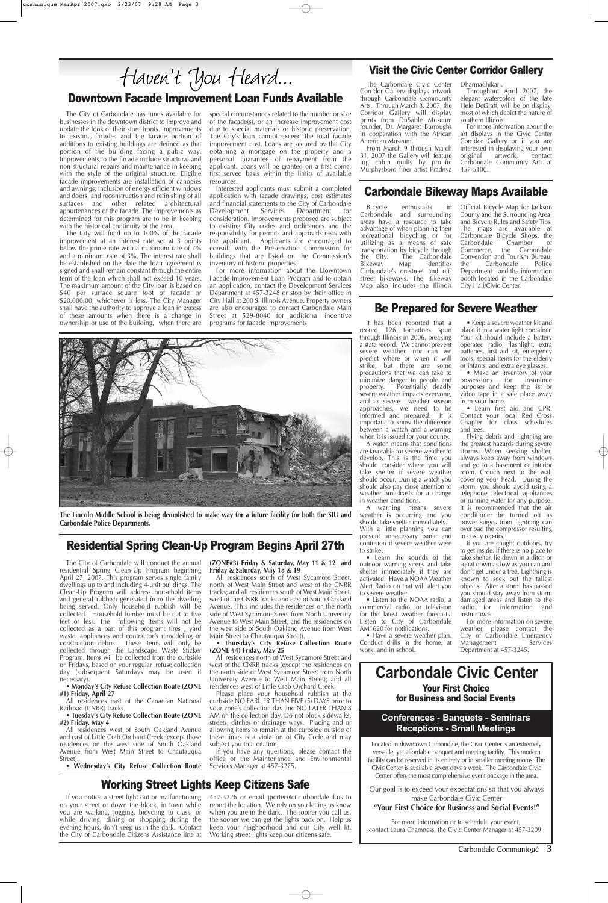## Downtown Facade Improvement Loan Funds Available

# Working Street Lights Keep Citizens Safe

If you notice a street light out or malfunctioning on your street or down the block, in town while you are walking, jogging, bicycling to class, or while driving, dining or shopping during the evening hours, don't keep us in the dark. Contact the City of Carbondale Citizens Assistance line at

457-3226 or email jporter@ci.carbondale.il.us to report the location. We rely on you letting us know when you are in the dark. The sooner you call us, the sooner we can get the lights back on. Help us keep your neighborhood and our City well lit. Working street lights keep our citizens safe.

The City of Carbondale has funds available for businesses in the downtown district to improve and update the look of their store fronts. Improvements to existing facades and the facade portion of additions to existing buildings are defined as that portion of the building facing a pubic way. Improvements to the facade include structural and non-structural repairs and maintenance in keeping with the style of the original structure. Eligible facade improvements are installation of canopies and awnings, inclusion of energy efficient windows and doors, and reconstruction and refinishing of all surfaces and other related architectural appurtenances of the facade. The improvements as determined for this program are to be in keeping with the historical continuity of the area.

The City will fund up to 100% of the facade improvement at an interest rate set at 3 points below the prime rate with a maximum rate of 7% and a minimum rate of 3%. The interest rate shall be established on the date the loan agreement is signed and shall remain constant through the entire term of the loan which shall not exceed 10 years. The maximum amount of the City loan is based on \$40 per surface square foot of facade or \$20,000.00, whichever is less. The City Manager shall have the authority to approve a loan in excess of these amounts when there is a change in ownership or use of the building, when there are

> A watch means that conditions are favorable for severe weather to develop. This is the time you should consider where you will take shelter if severe weather should occur. During a watch you should also pay close attention to weather broadcasts for a change in weather conditions.

special circumstances related to the number or size of the facade(s), or an increase improvement cost due to special materials or historic preservation. The City's loan cannot exceed the total facade improvement cost. Loans are secured by the City obtaining a mortgage on the property and a personal guarantee of repayment from the applicant. Loans will be granted on a first come, first served basis within the limits of available resources.

> • Make an inventory of your<br>
> pssessions for insurance possessions for purposes and keep the list or video tape in a safe place away from your home.

Interested applicants must submit a completed application with facade drawings, cost estimates and financial statements to the City of Carbondale Development Services Department for consideration. Improvements proposed are subject to existing City codes and ordinances and the responsibility for permits and approvals rests with the applicant. Applicants are encouraged to consult with the Preservation Commission for buildings that are listed on the Commission's inventory of historic properties.

For more information about the Downtown Facade Improvement Loan Program and to obtain an application, contact the Development Services Department at 457-3248 or stop by their office in City Hall at 200 S. Illinois Avenue. Property owners are also encouraged to contact Carbondale Main Street at 529-8040 for additional incentive programs for facade improvements.

#### Be Prepared for Severe Weather

It has been reported that a record 126 tornadoes spun through Illinois in 2006, breaking a state record. We cannot prevent severe weather, nor can we predict where or when it will strike, but there are some precautions that we can take to minimize danger to people and property. Potentially deadly severe weather impacts everyone, and as severe weather season approaches, we need to be informed and prepared. It is important to know the difference between a watch and a warning when it is issued for your county.

A warning means severe weather is occurring and you should take shelter immediately. With a little planning you can prevent unnecessary panic and confusion if severe weather were to strike:

All residences south of West Sycamore Street, north of West Main Street and west of the CNRR tracks; and all residences south of West Main Street, west of the CNRR tracks and east of South Oakland Avenue. (This includes the residences on the north side of West Sycamore Street from North University Avenue to West Main Street; and the residences on the west side of South Oakland Avenue from West

• Learn the sounds of the outdoor warning sirens and take shelter immediately if they are activated. Have a NOAA Weather Alert Radio on that will alert you to severe weather.

• Listen to the NOAA radio, a commercial radio, or television for the latest weather forecasts. Listen to City of Carbondale AM1620 for notifications.

• Have a severe weather plan. Conduct drills in the home, at work, and in school.

• Keep a severe weather kit and place it in a water tight container. Your kit should include a battery operated radio, flashlight, extra batteries, first aid kit, emergency tools, special items for the elderly or infants, and extra eye glasses.

• Learn first aid and CPR. Contact your local Red Cross Chapter for class schedules and fees.

Flying debris and lightning are the greatest hazards during severe storms. When seeking shelter, always keep away from windows and go to a basement or interior room. Crouch next to the wall covering your head. During the storm, you should avoid using a telephone, electrical appliances or running water for any purpose. It is recommended that the air conditioner be turned off as power surges from lightning can overload the compressor resulting in costly repairs.

If you are caught outdoors, try to get inside. If there is no place to take shelter, lie down in a ditch or squat down as low as you can and don't get under a tree. Lightning is known to seek out the tallest objects. After a storm has passed you should stay away from storm damaged areas and listen to the<br>radio for information and information and instructions.

For more information on severe weather, please contact the City of Carbondale Emergency Management Services Department at 457-3245.

Located in downtown Carbondale, the Civic Center is an extremely versatile, yet affordable banquet and meeting facility. This modern facility can be reserved in its entirety or in smaller meeting rooms. The Civic Center is available seven days a week. The Carbondale Civic Center offers the most comprehensive event package in the area.

# **Carbondale Civic Center** Your First Choice

Our goal is to exceed your expectations so that you always make Carbondale Civic Center **"Your First Choice for Business and Social Events!"**

# for Business and Social Events

Carbondale Communiqué **3**

#### **Conferences - Banquets - Seminars Receptions - Small Meetings**

## Residential Spring Clean-Up Program Begins April 27th

The City of Carbondale will conduct the annual residential Spring Clean-Up Program beginning April 27, 2007. This program serves single family dwellings up to and including 4-unit buildings. The Clean-Up Program will address household items and general rubbish generated from the dwelling being served. Only household rubbish will be collected. Household lumber must be cut to five feet or less. The following Items will not be collected as a part of this program: tires , yard waste, appliances and contractor's remodeling or construction debris. These items will only be collected through the Landscape Waste Sticker Program. Items will be collected from the curbside on Fridays, based on your regular refuse collection day (subsequent Saturdays may be used if necessary).

#### • **Monday's City Refuse Collection Route (ZONE #1) Friday, April 27**

All residences east of the Canadian National Railroad (CNRR) tracks.

#### • **Tuesday's City Refuse Collection Route (ZONE #2) Friday, May 4**

All residences west of South Oakland Avenue and east of Little Crab Orchard Creek (except those residences on the west side of South Oakland Avenue from West Main Street to Chautauqua Street).

• **Wednesday's City Refuse Collection Route**

#### **(ZONE#3) Friday & Saturday, May 11 & 12 and Friday & Saturday, May 18 & 19**

Main Street to Chautauqua Street).

#### • **Thursday's City Refuse Collection Route (ZONE #4) Friday, May 25**

All residences north of West Sycamore Street and west of the CNRR tracks (except the residences on the north side of West Sycamore Street from North University Avenue to West Main Street); and all residences west of Little Crab Orchard Creek.

Please place your household rubbish at the curbside NO EARLIER THAN FIVE (5) DAYS prior to your zone's collection day and NO LATER THAN 8 AM on the collection day. Do not block sidewalks, streets, ditches or drainage ways. Placing and or allowing items to remain at the curbside outside of these times is a violation of City Code and may subject you to a citation.

If you have any questions, please contact the office of the Maintenance and Environmental Services Manager at 457-3275.

#### Visit the Civic Center Corridor Gallery

The Carbondale Civic Center Corridor Gallery displays artwork through Carbondale Community Arts. Through March 8, 2007, the Corridor Gallery will display prints from DuSable Museum founder, Dr. Margaret Burroughs in cooperation with the African American Museum.

From March 9 through March 31, 2007 the Gallery will feature log cabin quilts by prolific Murphysboro fiber artist Pradnya Dharmadhikari.

Throughout April 2007, the elegant watercolors of the late Hele DeGraff, will be on display, most of which depict the nature of southern Illinois.

For more information about the art displays in the Civic Center Corridor Gallery or if you are interested in displaying your own original artwork, contact Carbondale Community Arts at 457-5100.

#### Carbondale Bikeway Maps Available

Bicycle enthusiasts in Carbondale and surrounding areas have a resource to take advantage of when planning their recreational bicycling or for utilizing as a means of safe transportation by bicycle through<br>the City. The Carbondale the City. The Carbondale<br>Bikeway Map identifies identifies Carbondale's on-street and offstreet bikeways. The Bikeway Map also includes the Illinois Official Bicycle Map for Jackson County and the Surrounding Area, and Bicycle Rules and Safety Tips. The maps are available at Carbondale Bicycle Shops, the<br>Carbondale Chamber of Carbondale Chamber of<br>Commerce, the Carbondale the Carbondale Convention and Tourism Bureau,<br>the Carbondale Police Carbondale Department , and the information booth located in the Carbondale City Hall/Civic Center.



**The Lincoln Middle School is being demolished to make way for a future facility for both the SIU and Carbondale Police Departments.**

For more information or to schedule your event, contact Laura Chamness, the Civic Center Manager at 457-3209.

# Haven't You Heard...